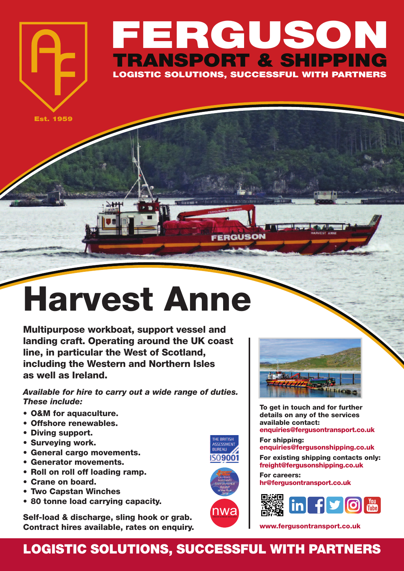## **FERGUSON TRANSPORT & SHIPPING LOGISTIC SOLUTIONS, SUCCESSFUL WITH PARTNERS**

FERGUSON

**Est. 1959**

## **Harvest Anne**

**Multipurpose workboat, support vessel and landing craft. Operating around the UK coast line, in particular the West of Scotland, including the Western and Northern Isles as well as Ireland.**

*Available for hire to carry out a wide range of duties. These include:*

- **• O&M for aquaculture.**
- **• Offshore renewables.**
- **• Diving support.**
- **• Surveying work.**
- **• General cargo movements.**
- **• Generator movements.**
- **• Roll on roll off loading ramp.**
- **• Crane on board.**
- **• Two Capstan Winches**
- **• 80 tonne load carrying capacity.**

**Self-load & discharge, sling hook or grab. Contract hires available, rates on enquiry.**







**To get in touch and for further details on any of the services available contact: enquiries@fergusontransport.co.uk**

**For shipping: enquiries@fergusonshipping.co.uk**

**For existing shipping contacts only: freight@fergusonshipping.co.uk**

**For careers: hr@fergusontransport.co.uk**



**www.fergusontransport.co.uk**

## **LOGISTIC SOLUTIONS, SUCCESSFUL WITH PARTNERS**